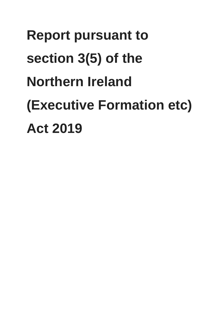# **Report pursuant to section 3(5) of the Northern Ireland (Executive Formation etc) Act 2019**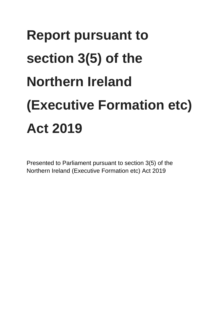# **Report pursuant to section 3(5) of the Northern Ireland (Executive Formation etc) Act 2019**

Presented to Parliament pursuant to section 3(5) of the Northern Ireland (Executive Formation etc) Act 2019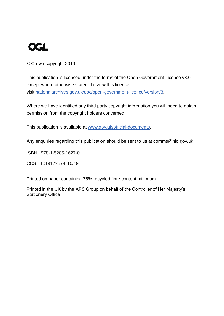

#### © Crown copyright 2019

This publication is licensed under the terms of the Open Government Licence v3.0 except where otherwise stated. To view this licence, visit [nationalarchives.gov.uk/doc/open-government-licence/version/3.](http://www.nationalarchives.gov.uk/doc/open-government-licence/version/3)

Where we have identified any third party copyright information you will need to obtain permission from the copyright holders concerned.

This publication is available at [www.gov.uk/official-documents.](https://www.gov.uk/government/publications)

Any enquiries regarding this publication should be sent to us at comms@nio.gov.uk

ISBN 978-1-5286-1627-0

CCS 1019172574 10/19

Printed on paper containing 75% recycled fibre content minimum

Printed in the UK by the APS Group on behalf of the Controller of Her Majesty's Stationery Office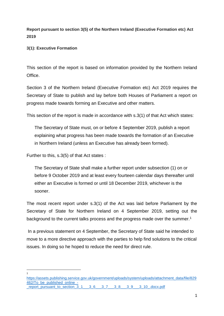**Report pursuant to section 3(5) of the Northern Ireland (Executive Formation etc) Act 2019** 

**3(1): Executive Formation**

This section of the report is based on information provided by the Northern Ireland **Office** 

Section 3 of the Northern Ireland (Executive Formation etc) Act 2019 requires the Secretary of State to publish and lay before both Houses of Parliament a report on progress made towards forming an Executive and other matters.

This section of the report is made in accordance with s.3(1) of that Act which states:

The Secretary of State must, on or before 4 September 2019, publish a report explaining what progress has been made towards the formation of an Executive in Northern Ireland (unless an Executive has already been formed).

Further to this, s.3(5) of that Act states :

The Secretary of State shall make a further report under subsection (1) on or before 9 October 2019 and at least every fourteen calendar days thereafter until either an Executive is formed or until 18 December 2019, whichever is the sooner.

The most recent report under s.3(1) of the Act was laid before Parliament by the Secretary of State for Northern Ireland on 4 September 2019, setting out the background to the current talks process and the progress made over the summer.<sup>1</sup>

In a previous statement on 4 September, the Secretary of State said he intended to move to a more directive approach with the parties to help find solutions to the critical issues. In doing so he hoped to reduce the need for direct rule.

<sup>1</sup> 1

[https://assets.publishing.service.gov.uk/government/uploads/system/uploads/attachment\\_data/file/829](https://assets.publishing.service.gov.uk/government/uploads/system/uploads/attachment_data/file/829462/To_be_published_online_-_report_pursuant_to_section_3_1___3_6___3_7___3_8___3_9___3_10_.docx.pdf) [462/To\\_be\\_published\\_online\\_-](https://assets.publishing.service.gov.uk/government/uploads/system/uploads/attachment_data/file/829462/To_be_published_online_-_report_pursuant_to_section_3_1___3_6___3_7___3_8___3_9___3_10_.docx.pdf) [\\_report\\_pursuant\\_to\\_section\\_3\\_1\\_\\_\\_3\\_6\\_\\_\\_3\\_7\\_\\_\\_3\\_8\\_\\_\\_3\\_9\\_\\_\\_3\\_10\\_.docx.pdf](https://assets.publishing.service.gov.uk/government/uploads/system/uploads/attachment_data/file/829462/To_be_published_online_-_report_pursuant_to_section_3_1___3_6___3_7___3_8___3_9___3_10_.docx.pdf)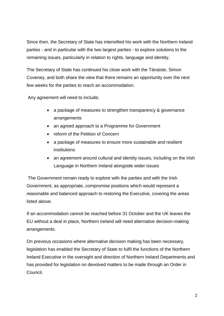Since then, the Secretary of State has intensified his work with the Northern Ireland parties - and in particular with the two largest parties - to explore solutions to the remaining issues, particularly in relation to rights, language and identity.

The Secretary of State has continued his close work with the Tánaiste, Simon Coveney, and both share the view that there remains an opportunity over the next few weeks for the parties to reach an accommodation.

Any agreement will need to include;

- a package of measures to strengthen transparency & governance arrangements
- an agreed approach to a Programme for Government
- reform of the Petition of Concern
- a package of measures to ensure more sustainable and resilient institutions
- an agreement around cultural and identity issues, including on the Irish Language in Northern Ireland alongside wider issues

The Government remain ready to explore with the parties and with the Irish Government, as appropriate, compromise positions which would represent a reasonable and balanced approach to restoring the Executive, covering the areas listed above.

If an accommodation cannot be reached before 31 October and the UK leaves the EU without a deal in place, Northern Ireland will need alternative decision-making arrangements.

On previous occasions where alternative decision making has been necessary, legislation has enabled the Secretary of State to fulfil the functions of the Northern Ireland Executive in the oversight and direction of Northern Ireland Departments and has provided for legislation on devolved matters to be made through an Order in Council.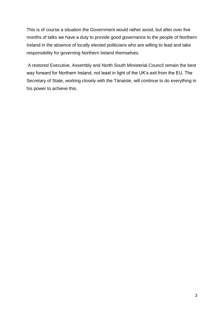This is of course a situation the Government would rather avoid, but after over five months of talks we have a duty to provide good governance to the people of Northern Ireland in the absence of locally elected politicians who are willing to lead and take responsibility for governing Northern Ireland themselves.

A restored Executive, Assembly and North South Ministerial Council remain the best way forward for Northern Ireland, not least in light of the UK's exit from the EU. The Secretary of State, working closely with the Tánaiste, will continue to do everything in his power to achieve this.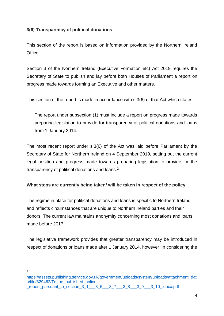# **3(6) Transparency of political donations**

This section of the report is based on information provided by the Northern Ireland Office.

Section 3 of the Northern Ireland (Executive Formation etc) Act 2019 requires the Secretary of State to publish and lay before both Houses of Parliament a report on progress made towards forming an Executive and other matters.

This section of the report is made in accordance with s.3(6) of that Act which states:

The report under subsection (1) must include a report on progress made towards preparing legislation to provide for transparency of political donations and loans from 1 January 2014.

The most recent report under s.3(6) of the Act was laid before Parliament by the Secretary of State for Northern Ireland on 4 September 2019, setting out the current legal position and progress made towards preparing legislation to provide for the transparency of political donations and loans.<sup>2</sup>

#### **What steps are currently being taken/ will be taken in respect of the policy**

The regime in place for political donations and loans is specific to Northern Ireland and reflects circumstances that are unique to Northern Ireland parties and their donors. The current law maintains anonymity concerning most donations and loans made before 2017.

The legislative framework provides that greater transparency may be introduced in respect of donations or loans made after 1 January 2014, however, in considering the

 $\frac{1}{2}$ 

[https://assets.publishing.service.gov.uk/government/uploads/system/uploads/attachment\\_dat](https://assets.publishing.service.gov.uk/government/uploads/system/uploads/attachment_data/file/829462/To_be_published_online_-_report_pursuant_to_section_3_1___3_6___3_7___3_8___3_9___3_10_.docx.pdf) a/file/829462/To\_be\_published\_online -[\\_report\\_pursuant\\_to\\_section\\_3\\_1\\_\\_\\_3\\_6\\_\\_\\_3\\_7\\_\\_\\_3\\_8\\_\\_\\_3\\_9\\_\\_\\_3\\_10\\_.docx.pdf](https://assets.publishing.service.gov.uk/government/uploads/system/uploads/attachment_data/file/829462/To_be_published_online_-_report_pursuant_to_section_3_1___3_6___3_7___3_8___3_9___3_10_.docx.pdf)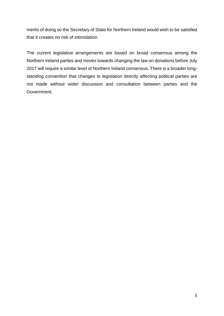merits of doing so the Secretary of State for Northern Ireland would wish to be satisfied that it creates no risk of intimidation.

The current legislative arrangements are based on broad consensus among the Northern Ireland parties and moves towards changing the law on donations before July 2017 will require a similar level of Northern Ireland consensus. There is a broader longstanding convention that changes to legislation directly affecting political parties are not made without wider discussion and consultation between parties and the Government.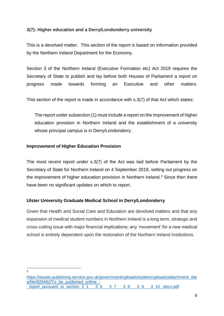## **3(7): Higher education and a Derry/Londonderry university**

This is a devolved matter. This section of the report is based on information provided by the Northern Ireland Department for the Economy.

Section 3 of the Northern Ireland (Executive Formation etc) Act 2019 requires the Secretary of State to publish and lay before both Houses of Parliament a report on progress made towards forming an Executive and other matters.

This section of the report is made in accordance with s.3(7) of that Act which states:

The report under subsection (1) must include a report on the improvement of higher education provision in Northern Ireland and the establishment of a university whose principal campus is in Derry/Londonderry.

#### **Improvement of Higher Education Provision**

The most recent report under s.3(7) of the Act was laid before Parliament by the Secretary of State for Northern Ireland on 4 September 2019, setting out progress on the improvement of higher education provision in Northern Ireland.<sup>3</sup> Since then there have been no significant updates on which to report.

# **Ulster University Graduate Medical School in Derry/Londonderry**

Given that Health and Social Care and Education are devolved matters and that any expansion of medical student numbers in Northern Ireland is a long term, strategic and cross cutting issue with major financial implications; any 'movement' for a new medical school is entirely dependent upon the restoration of the Northern Ireland Institutions.

 $\frac{1}{3}$ 

[https://assets.publishing.service.gov.uk/government/uploads/system/uploads/attachment\\_dat](https://assets.publishing.service.gov.uk/government/uploads/system/uploads/attachment_data/file/829462/To_be_published_online_-_report_pursuant_to_section_3_1___3_6___3_7___3_8___3_9___3_10_.docx.pdf) a/file/829462/To\_be\_published\_online report\_pursuant\_to\_section\_3\_1\_\_\_\_\_3\_6\_\_\_\_3\_7\_\_\_3\_8\_\_\_3\_9\_\_\_3\_10\_.docx.pdf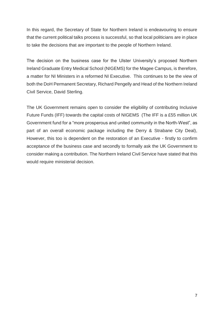In this regard, the Secretary of State for Northern Ireland is endeavouring to ensure that the current political talks process is successful, so that local politicians are in place to take the decisions that are important to the people of Northern Ireland.

The decision on the business case for the Ulster University's proposed Northern Ireland Graduate Entry Medical School (NIGEMS) for the Magee Campus, is therefore, a matter for NI Ministers in a reformed NI Executive. This continues to be the view of both the DoH Permanent Secretary, Richard Pengelly and Head of the Northern Ireland Civil Service, David Sterling.

The UK Government remains open to consider the eligibility of contributing Inclusive Future Funds (IFF) towards the capital costs of NIGEMS (The IFF is a £55 million UK Government fund for a "more prosperous and united community in the North-West", as part of an overall economic package including the Derry & Strabane City Deal), However, this too is dependent on the restoration of an Executive - firstly to confirm acceptance of the business case and secondly to formally ask the UK Government to consider making a contribution. The Northern Ireland Civil Service have stated that this would require ministerial decision.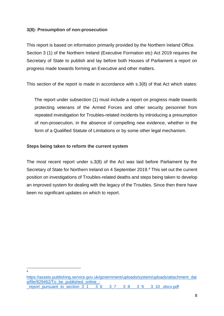#### **3(8): Presumption of non-prosecution**

This report is based on information primarily provided by the Northern Ireland Office. Section 3 (1) of the Northern Ireland (Executive Formation etc) Act 2019 requires the Secretary of State to publish and lay before both Houses of Parliament a report on progress made towards forming an Executive and other matters.

This section of the report is made in accordance with s.3(8) of that Act which states:

The report under subsection (1) must include a report on progress made towards protecting veterans of the Armed Forces and other security personnel from repeated investigation for Troubles-related incidents by introducing a presumption of non-prosecution, in the absence of compelling new evidence, whether in the form of a Qualified Statute of Limitations or by some other legal mechanism.

#### **Steps being taken to reform the current system**

The most recent report under s.3(8) of the Act was laid before Parliament by the Secretary of State for Northern Ireland on 4 September 2019.<sup>4</sup> This set out the current position on investigations of Troubles-related deaths and steps being taken to develop an improved system for dealing with the legacy of the Troubles. Since then there have been no significant updates on which to report.

-4

[https://assets.publishing.service.gov.uk/government/uploads/system/uploads/attachment\\_dat](https://assets.publishing.service.gov.uk/government/uploads/system/uploads/attachment_data/file/829462/To_be_published_online_-_report_pursuant_to_section_3_1___3_6___3_7___3_8___3_9___3_10_.docx.pdf) a/file/829462/To\_be\_published\_online report pursuant to section 3 1 = 3 6 = 3 7 = 3 8 = 3 9 = 3 10 .docx.pdf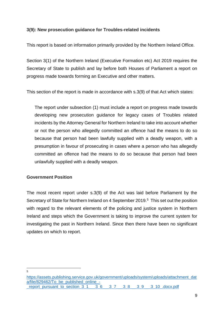#### **3(9): New prosecution guidance for Troubles-related incidents**

This report is based on information primarily provided by the Northern Ireland Office.

Section 3(1) of the Northern Ireland (Executive Formation etc) Act 2019 requires the Secretary of State to publish and lay before both Houses of Parliament a report on progress made towards forming an Executive and other matters.

This section of the report is made in accordance with s.3(9) of that Act which states:

The report under subsection (1) must include a report on progress made towards developing new prosecution guidance for legacy cases of Troubles related incidents by the Attorney General for Northern Ireland to take into account whether or not the person who allegedly committed an offence had the means to do so because that person had been lawfully supplied with a deadly weapon, with a presumption in favour of prosecuting in cases where a person who has allegedly committed an offence had the means to do so because that person had been unlawfully supplied with a deadly weapon.

#### **Government Position**

The most recent report under s.3(9) of the Act was laid before Parliament by the Secretary of State for Northern Ireland on 4 September 2019.<sup>5</sup> This set out the position with regard to the relevant elements of the policing and justice system in Northern Ireland and steps which the Government is taking to improve the current system for investigating the past in Northern Ireland. Since then there have been no significant updates on which to report.

 $\frac{1}{5}$ 

[https://assets.publishing.service.gov.uk/government/uploads/system/uploads/attachment\\_dat](https://assets.publishing.service.gov.uk/government/uploads/system/uploads/attachment_data/file/829462/To_be_published_online_-_report_pursuant_to_section_3_1___3_6___3_7___3_8___3_9___3_10_.docx.pdf) a/file/829462/To\_be\_published\_online report pursuant to section 3 1 = 3 6 = 3 7 = 3 8 = 3 9 = 3 10 .docx.pdf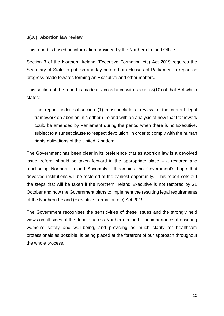#### **3(10): Abortion law review**

This report is based on information provided by the Northern Ireland Office.

Section 3 of the Northern Ireland (Executive Formation etc) Act 2019 requires the Secretary of State to publish and lay before both Houses of Parliament a report on progress made towards forming an Executive and other matters.

This section of the report is made in accordance with section 3(10) of that Act which states:

The report under subsection (1) must include a review of the current legal framework on abortion in Northern Ireland with an analysis of how that framework could be amended by Parliament during the period when there is no Executive, subject to a sunset clause to respect devolution, in order to comply with the human rights obligations of the United Kingdom.

The Government has been clear in its preference that as abortion law is a devolved issue, reform should be taken forward in the appropriate place – a restored and functioning Northern Ireland Assembly. It remains the Government's hope that devolved institutions will be restored at the earliest opportunity. This report sets out the steps that will be taken if the Northern Ireland Executive is not restored by 21 October and how the Government plans to implement the resulting legal requirements of the Northern Ireland (Executive Formation etc) Act 2019.

The Government recognises the sensitivities of these issues and the strongly held views on all sides of the debate across Northern Ireland. The importance of ensuring women's safety and well-being, and providing as much clarity for healthcare professionals as possible, is being placed at the forefront of our approach throughout the whole process.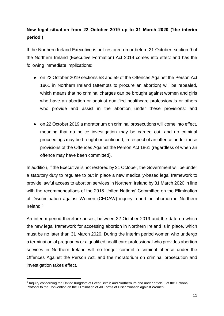# **New legal situation from 22 October 2019 up to 31 March 2020 ('the interim period')**

If the Northern Ireland Executive is not restored on or before 21 October, section 9 of the Northern Ireland (Executive Formation) Act 2019 comes into effect and has the following immediate implications:

- on 22 October 2019 sections 58 and 59 of the Offences Against the Person Act 1861 in Northern Ireland (attempts to procure an abortion) will be repealed, which means that no criminal charges can be brought against women and girls who have an abortion or against qualified healthcare professionals or others who provide and assist in the abortion under these provisions; and
- on 22 October 2019 a moratorium on criminal prosecutions will come into effect, meaning that no police investigation may be carried out, and no criminal proceedings may be brought or continued, in respect of an offence under those provisions of the Offences Against the Person Act 1861 (regardless of when an offence may have been committed).

In addition, if the Executive is not restored by 21 October, the Government will be under a statutory duty to regulate to put in place a new medically-based legal framework to provide lawful access to abortion services in Northern Ireland by 31 March 2020 in line with the recommendations of the 2018 United Nations' Committee on the Elimination of Discrimination against Women (CEDAW) inquiry report on abortion in Northern Ireland.<sup>6</sup>

An interim period therefore arises, between 22 October 2019 and the date on which the new legal framework for accessing abortion in Northern Ireland is in place, which must be no later than 31 March 2020. During the interim period women who undergo a termination of pregnancy or a qualified healthcare professional who provides abortion services in Northern Ireland will no longer commit a criminal offence under the Offences Against the Person Act, and the moratorium on criminal prosecution and investigation takes effect.

1

<sup>&</sup>lt;sup>6</sup> Inquiry concerning the United Kingdom of Great Britain and Northern Ireland under article 8 of the Optional Protocol to the Convention on the Elimination of All Forms of Discrimination against Women.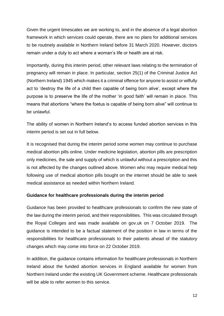Given the urgent timescales we are working to, and in the absence of a legal abortion framework in which services could operate, there are no plans for additional services to be routinely available in Northern Ireland before 31 March 2020. However, doctors remain under a duty to act where a woman's life or health are at risk.

Importantly, during this interim period, other relevant laws relating to the termination of pregnancy will remain in place. In particular, section 25(1) of the Criminal Justice Act (Northern Ireland) 1945 which makes it a criminal offence for anyone to assist or wilfully act to 'destroy the life of a child then capable of being born alive', except where the purpose is to preserve the life of the mother 'in good faith' will remain in place. This means that abortions "where the foetus is capable of being born alive" will continue to be unlawful.

The ability of women in Northern Ireland's to access funded abortion services in this interim period is set out in full below.

It is recognised that during the interim period some women may continue to purchase medical abortion pills online. Under medicine legislation, abortion pills are prescription only medicines, the sale and supply of which is unlawful without a prescription and this is not affected by the changes outlined above. Women who may require medical help following use of medical abortion pills bought on the internet should be able to seek medical assistance as needed within Northern Ireland.

# **Guidance for healthcare professionals during the interim period**

Guidance has been provided to healthcare professionals to confirm the new state of the law during the interim period, and their responsibilities. This was circulated through the Royal Colleges and was made available on gov.uk on 7 October 2019. The guidance is intended to be a factual statement of the position in law in terms of the responsibilities for healthcare professionals to their patients ahead of the statutory changes which may come into force on 22 October 2019.

In addition, the guidance contains information for healthcare professionals in Northern Ireland about the funded abortion services in England available for women from Northern Ireland under the existing UK Government scheme. Healthcare professionals will be able to refer women to this service.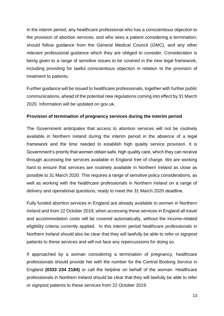In the interim period, any healthcare professional who has a conscientious objection to the provision of abortion services, and who sees a patient considering a termination, should follow guidance from the General Medical Council (GMC), and any other relevant professional guidance which they are obliged to consider. Consideration is being given to a range of sensitive issues to be covered in the new legal framework, including providing for lawful conscientious objection in relation to the provision of treatment to patients.

Further guidance will be issued to healthcare professionals, together with further public communications, ahead of the potential new regulations coming into effect by 31 March 2020. Information will be updated on gov.uk.

#### **Provision of termination of pregnancy services during the interim period**

The Government anticipates that access to abortion services will not be routinely available in Northern Ireland during the interim period in the absence of a legal framework and the time needed to establish high quality service provision. It is Government's priority that women obtain safe, high quality care, which they can receive through accessing the services available in England free of charge. We are working hard to ensure that services are routinely available in Northern Ireland as close as possible to 31 March 2020. This requires a range of sensitive policy considerations, as well as working with the healthcare professionals in Northern Ireland on a range of delivery and operational questions, ready to meet the 31 March 2020 deadline.

Fully funded abortion services in England are already available to women in Northern Ireland and from 22 October 2019, when accessing these services in England all travel and accommodation costs will be covered automatically, without the income-related eligibility criteria currently applied. In this interim period healthcare professionals in Northern Ireland should also be clear that they will lawfully be able to refer or signpost patients to these services and will not face any repercussions for doing so.

If approached by a woman considering a termination of pregnancy, healthcare professionals should provide her with the number for the Central Booking Service in England **(0333 234 2184)** or call the helpline on behalf of the woman. Healthcare professionals in Northern Ireland should be clear that they will lawfully be able to refer or signpost patients to these services from 22 October 2019.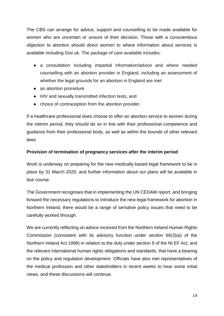The CBS can arrange for advice, support and counselling to be made available for women who are uncertain or unsure of their decision. Those with a conscientious objection to abortion should direct women to where information about services is available including Gov.uk. The package of care available includes:

- a consultation including impartial information/advice and where needed counselling with an abortion provider in England, including an assessment of whether the legal grounds for an abortion in England are met
- an abortion procedure
- HIV and sexually transmitted infection tests, and
- choice of contraception from the abortion provider.

If a healthcare professional does choose to offer an abortion service to women during the interim period, they should do so in line with their professional competence and guidance from their professional body, as well as within the bounds of other relevant laws.

### **Provision of termination of pregnancy services after the interim period**

Work is underway on preparing for the new medically-based legal framework to be in place by 31 March 2020, and further information about our plans will be available in due course.

The Government recognises that in implementing the UN CEDAW report, and bringing forward the necessary regulations to introduce the new legal framework for abortion in Northern Ireland, there would be a range of sensitive policy issues that need to be carefully worked through.

We are currently reflecting on advice received from the Northern Ireland Human Rights Commission (consistent with its advisory function under section 69(3)(a) of the Northern Ireland Act 1998) in relation to the duty under section 9 of the NI EF Act, and the relevant international human rights obligations and standards, that have a bearing on the policy and regulation development. Officials have also met representatives of the medical profession and other stakeholders in recent weeks to hear some initial views, and these discussions will continue.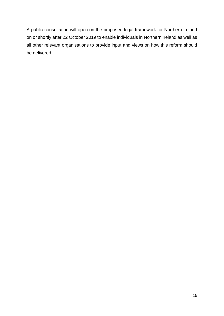A public consultation will open on the proposed legal framework for Northern Ireland on or shortly after 22 October 2019 to enable individuals in Northern Ireland as well as all other relevant organisations to provide input and views on how this reform should be delivered.